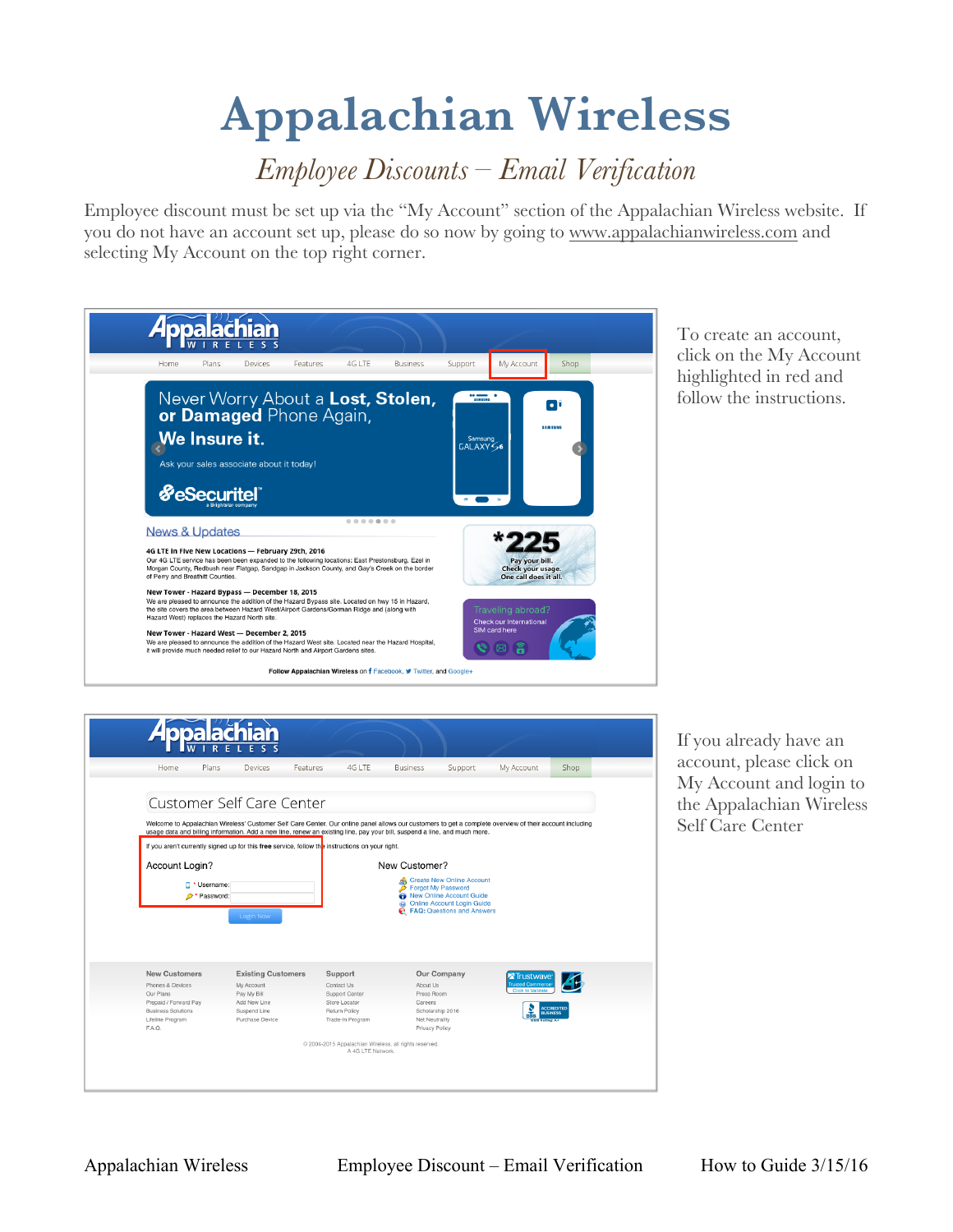## **Appalachian Wireless**

## *Employee Discounts – Email Verification*

Employee discount must be set up via the "My Account" section of the Appalachian Wireless website. If you do not have an account set up, please do so now by going to www.appalachianwireless.com and selecting My Account on the top right corner.

|                                                    | Plans                                      | Devices                                                                                     | Features                                                                                                                                                                                     | 4G LTE | <b>Business</b>                                                                               | Support                                           | My Account                                                    | Shop                                       |
|----------------------------------------------------|--------------------------------------------|---------------------------------------------------------------------------------------------|----------------------------------------------------------------------------------------------------------------------------------------------------------------------------------------------|--------|-----------------------------------------------------------------------------------------------|---------------------------------------------------|---------------------------------------------------------------|--------------------------------------------|
|                                                    | We Insure it.<br><b><i>SeSecuritel</i></b> | Ask your sales associate about it today!                                                    | or Damaged Phone Again,                                                                                                                                                                      |        | Never Worry About a Lost, Stolen,                                                             | <b>SAMSUNG</b><br>Samsung<br>GALAXY <sub>56</sub> |                                                               | $\overline{\phantom{a}}$<br><b>SAMSUNG</b> |
| <b>News &amp; Updates</b>                          |                                            |                                                                                             |                                                                                                                                                                                              |        |                                                                                               |                                                   |                                                               |                                            |
| 4G LTE in Five New Locations - February 29th, 2016 |                                            |                                                                                             | Our 4G LTE service has been been expanded to the following locations: East Prestonsburg, Ezel in                                                                                             |        | Morgan County, Redbush near Flatgap, Sandgap in Jackson County, and Gay's Creek on the border |                                                   | Pay your bill.<br>Check your usage.<br>One call does it all.  |                                            |
| of Perry and Breathitt Counties.                   |                                            |                                                                                             |                                                                                                                                                                                              |        |                                                                                               |                                                   |                                                               |                                            |
| Hazard West) replaces the Hazard North site.       |                                            | New Tower - Hazard Bypass - December 18, 2015<br>New Tower - Hazard West - December 2, 2015 | We are pleased to announce the addition of the Hazard Bypass site. Located on hwy 15 in Hazard.<br>the site covers the area between Hazard West/Airport Gardens/Gorman Ridge and (along with |        |                                                                                               |                                                   | Traveling abroad?<br>Check our International<br>SIM card here |                                            |

To create an account, click on the My Account highlighted in red and follow the instructions.

|                                                    | Plans<br>Devices                                                                                                                                        | $4G$ I TF<br>Features | <b>Business</b> | Support                                                              | My Account                                  | Shop                          |
|----------------------------------------------------|---------------------------------------------------------------------------------------------------------------------------------------------------------|-----------------------|-----------------|----------------------------------------------------------------------|---------------------------------------------|-------------------------------|
|                                                    |                                                                                                                                                         |                       |                 |                                                                      |                                             |                               |
|                                                    | Customer Self Care Center                                                                                                                               |                       |                 |                                                                      |                                             |                               |
|                                                    | Welcome to Appalachian Wireless' Customer Self Care Center. Our online panel allows our customers to get a complete overview of their account including |                       |                 |                                                                      |                                             |                               |
|                                                    | usage data and billing information. Add a new line, renew an existing line, pay your bill, suspend a line, and much more.                               |                       |                 |                                                                      |                                             |                               |
|                                                    | If you aren't currently signed up for this free service, follow the instructions on your right.                                                         |                       |                 |                                                                      |                                             |                               |
| Account Login?                                     |                                                                                                                                                         |                       | New Customer?   |                                                                      |                                             |                               |
|                                                    | Username:                                                                                                                                               |                       | ∙               | <b>Create New Online Account</b><br><b>Forgot My Password</b>        |                                             |                               |
|                                                    | Password:                                                                                                                                               |                       | $\odot$         | <b>New Online Account Guide</b><br><b>Online Account Login Guide</b> |                                             |                               |
|                                                    | Login Now                                                                                                                                               |                       |                 | <b>A</b> FAQ: Questions and Answers                                  |                                             |                               |
|                                                    |                                                                                                                                                         |                       |                 |                                                                      |                                             |                               |
|                                                    |                                                                                                                                                         |                       |                 |                                                                      |                                             |                               |
|                                                    |                                                                                                                                                         |                       |                 |                                                                      |                                             |                               |
|                                                    |                                                                                                                                                         |                       |                 |                                                                      |                                             |                               |
| <b>New Customers</b>                               | <b>Existing Customers</b>                                                                                                                               | Support               |                 | Our Company                                                          | Trustwave                                   |                               |
| Phones & Devices                                   | My Account                                                                                                                                              | Contact Us            | About Us        |                                                                      | rusted Commerce<br><b>Click to Validate</b> |                               |
| Our Plans                                          | Pay My Bill                                                                                                                                             | Support Center        | Press Room      |                                                                      |                                             |                               |
| Prepaid / Forward Pay<br><b>Business Solutions</b> | Add New Line                                                                                                                                            | Store Locator         | Careers         |                                                                      |                                             | <b>ACCREDITED</b>             |
|                                                    | Suspend Line<br>Purchase Device                                                                                                                         | Return Policy         |                 | Scholarship 2016                                                     | RRR<br><b>DDD Retire: A+</b>                | <b><i><u>RUSINESS</u></i></b> |
| Lifeline Program<br>F.A.O.                         |                                                                                                                                                         | Trade-In Program      |                 | Net Neutrality<br>Privacy Policy                                     |                                             |                               |

If you already have an account, please click on My Account and login to the Appalachian Wireless Self Care Center